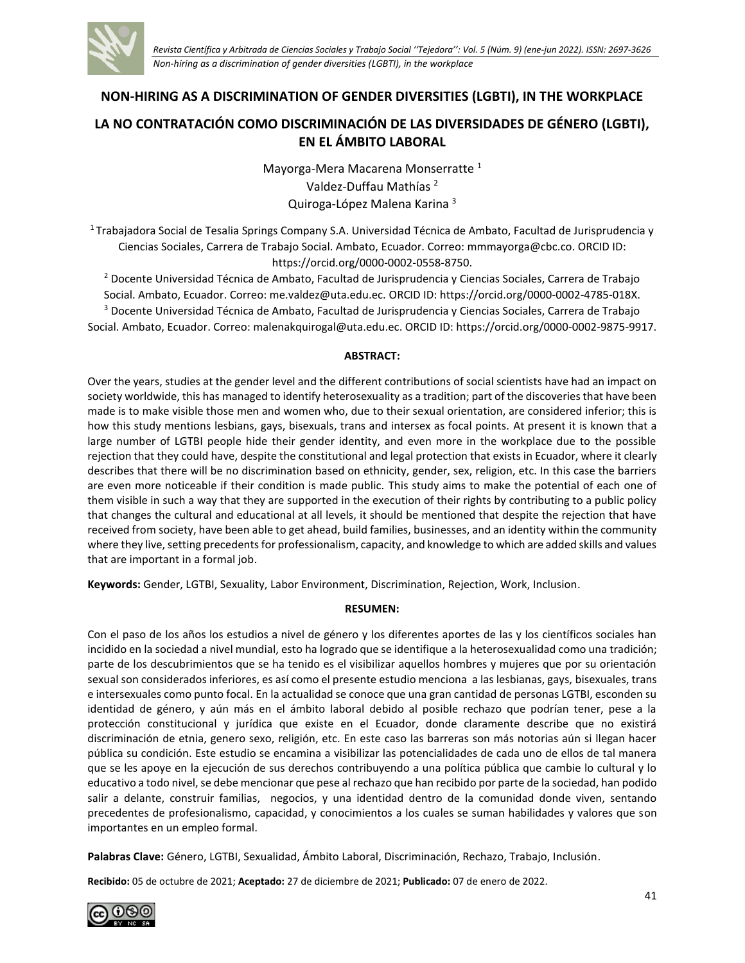

**NON-HIRING AS A DISCRIMINATION OF GENDER DIVERSITIES (LGBTI), IN THE WORKPLACE**

# **LA NO CONTRATACIÓN COMO DISCRIMINACIÓN DE LAS DIVERSIDADES DE GÉNERO (LGBTI), EN EL ÁMBITO LABORAL**

Mayorga-Mera Macarena Monserratte<sup>1</sup> Valdez-Duffau Mathías <sup>2</sup> Quiroga-López Malena Karina <sup>3</sup>

<sup>1</sup> Trabajadora Social de Tesalia Springs Company S.A. Universidad Técnica de Ambato, Facultad de Jurisprudencia y Ciencias Sociales, Carrera de Trabajo Social. Ambato, Ecuador. Correo: [mmmayorga@cbc.co.](mailto:mmmayorga@cbc.co) ORCID ID: [https://orcid.org/0000-0002-0558-8750.](https://orcid.org/0000-0002-0558-8750)

<sup>2</sup> Docente Universidad Técnica de Ambato, Facultad de Jurisprudencia y Ciencias Sociales, Carrera de Trabajo Social. Ambato, Ecuador. Correo: [me.valdez@uta.edu.ec.](mailto:me.valdez@uta.edu.ec) ORCID ID: [https://orcid.org/0000-0002-4785-018X.](https://orcid.org/0000-0002-4785-018X) <sup>3</sup> Docente Universidad Técnica de Ambato, Facultad de Jurisprudencia y Ciencias Sociales, Carrera de Trabajo Social. Ambato, Ecuador. Correo: [malenakquirogal@uta.edu.ec.](mailto:malenakquirogal@uta.edu.ec) ORCID ID: [https://orcid.org/0000-0002-9875-9917.](https://orcid.org/0000-0002-9875-9917)

#### **ABSTRACT:**

Over the years, studies at the gender level and the different contributions of social scientists have had an impact on society worldwide, this has managed to identify heterosexuality as a tradition; part of the discoveries that have been made is to make visible those men and women who, due to their sexual orientation, are considered inferior; this is how this study mentions lesbians, gays, bisexuals, trans and intersex as focal points. At present it is known that a large number of LGTBI people hide their gender identity, and even more in the workplace due to the possible rejection that they could have, despite the constitutional and legal protection that exists in Ecuador, where it clearly describes that there will be no discrimination based on ethnicity, gender, sex, religion, etc. In this case the barriers are even more noticeable if their condition is made public. This study aims to make the potential of each one of them visible in such a way that they are supported in the execution of their rights by contributing to a public policy that changes the cultural and educational at all levels, it should be mentioned that despite the rejection that have received from society, have been able to get ahead, build families, businesses, and an identity within the community where they live, setting precedents for professionalism, capacity, and knowledge to which are added skills and values that are important in a formal job.

**Keywords:** Gender, LGTBI, Sexuality, Labor Environment, Discrimination, Rejection, Work, Inclusion.

### **RESUMEN:**

Con el paso de los años los estudios a nivel de género y los diferentes aportes de las y los científicos sociales han incidido en la sociedad a nivel mundial, esto ha logrado que se identifique a la heterosexualidad como una tradición; parte de los descubrimientos que se ha tenido es el visibilizar aquellos hombres y mujeres que por su orientación sexual son considerados inferiores, es así como el presente estudio menciona a las lesbianas, gays, bisexuales, trans e intersexuales como punto focal. En la actualidad se conoce que una gran cantidad de personas LGTBI, esconden su identidad de género, y aún más en el ámbito laboral debido al posible rechazo que podrían tener, pese a la protección constitucional y jurídica que existe en el Ecuador, donde claramente describe que no existirá discriminación de etnia, genero sexo, religión, etc. En este caso las barreras son más notorias aún si llegan hacer pública su condición. Este estudio se encamina a visibilizar las potencialidades de cada uno de ellos de tal manera que se les apoye en la ejecución de sus derechos contribuyendo a una política pública que cambie lo cultural y lo educativo a todo nivel, se debe mencionar que pese al rechazo que han recibido por parte de la sociedad, han podido salir a delante, construir familias, negocios, y una identidad dentro de la comunidad donde viven, sentando precedentes de profesionalismo, capacidad, y conocimientos a los cuales se suman habilidades y valores que son importantes en un empleo formal.

**Palabras Clave:** Género, LGTBI, Sexualidad, Ámbito Laboral, Discriminación, Rechazo, Trabajo, Inclusión.

**Recibido:** 05 de octubre de 2021; **Aceptado:** 27 de diciembre de 2021; **Publicado:** 07 de enero de 2022.

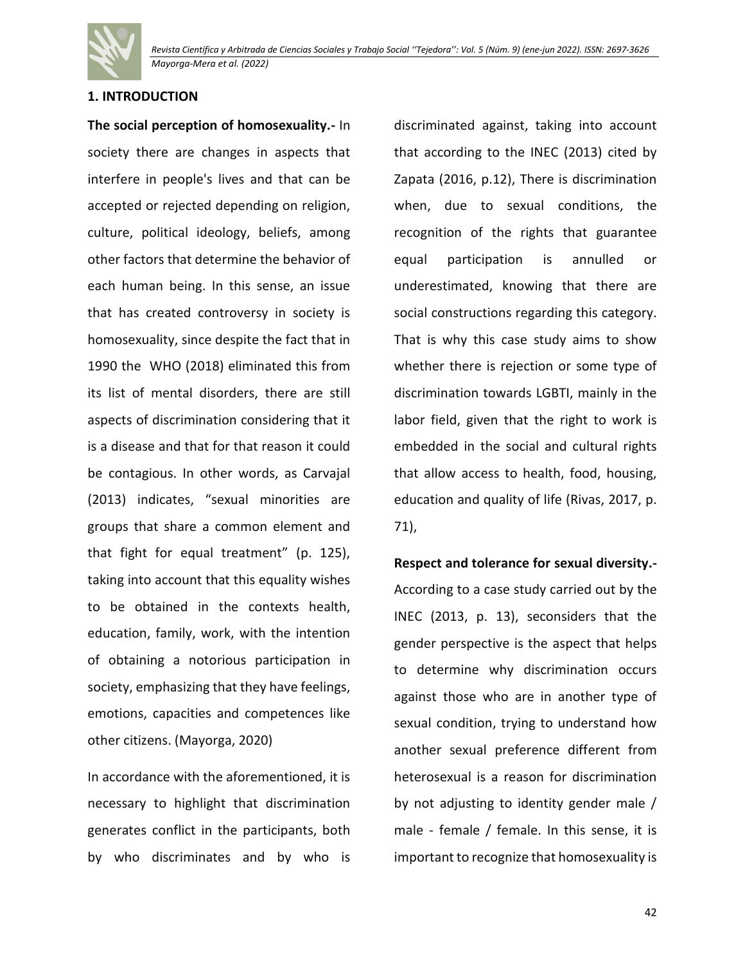

## **1. INTRODUCTION**

**The social perception of homosexuality.-** In society there are changes in aspects that interfere in people's lives and that can be accepted or rejected depending on religion, culture, political ideology, beliefs, among other factors that determine the behavior of each human being. In this sense, an issue that has created controversy in society is homosexuality, since despite the fact that in 1990 the WHO (2018) eliminated this from its list of mental disorders, there are still aspects of discrimination considering that it is a disease and that for that reason it could be contagious. In other words, as Carvajal (2013) indicates, "sexual minorities are groups that share a common element and that fight for equal treatment" (p. 125), taking into account that this equality wishes to be obtained in the contexts health, education, family, work, with the intention of obtaining a notorious participation in society, emphasizing that they have feelings, emotions, capacities and competences like other citizens. (Mayorga, 2020)

In accordance with the aforementioned, it is necessary to highlight that discrimination generates conflict in the participants, both by who discriminates and by who is

discriminated against, taking into account that according to the INEC (2013) cited by Zapata (2016, p.12), There is discrimination when, due to sexual conditions, the recognition of the rights that guarantee equal participation is annulled or underestimated, knowing that there are social constructions regarding this category. That is why this case study aims to show whether there is rejection or some type of discrimination towards LGBTI, mainly in the labor field, given that the right to work is embedded in the social and cultural rights that allow access to health, food, housing, education and quality of life (Rivas, 2017, p. 71),

**Respect and tolerance for sexual diversity.-** According to a case study carried out by the INEC (2013, p. 13), seconsiders that the gender perspective is the aspect that helps to determine why discrimination occurs against those who are in another type of sexual condition, trying to understand how another sexual preference different from heterosexual is a reason for discrimination by not adjusting to identity gender male / male - female / female. In this sense, it is important to recognize that homosexuality is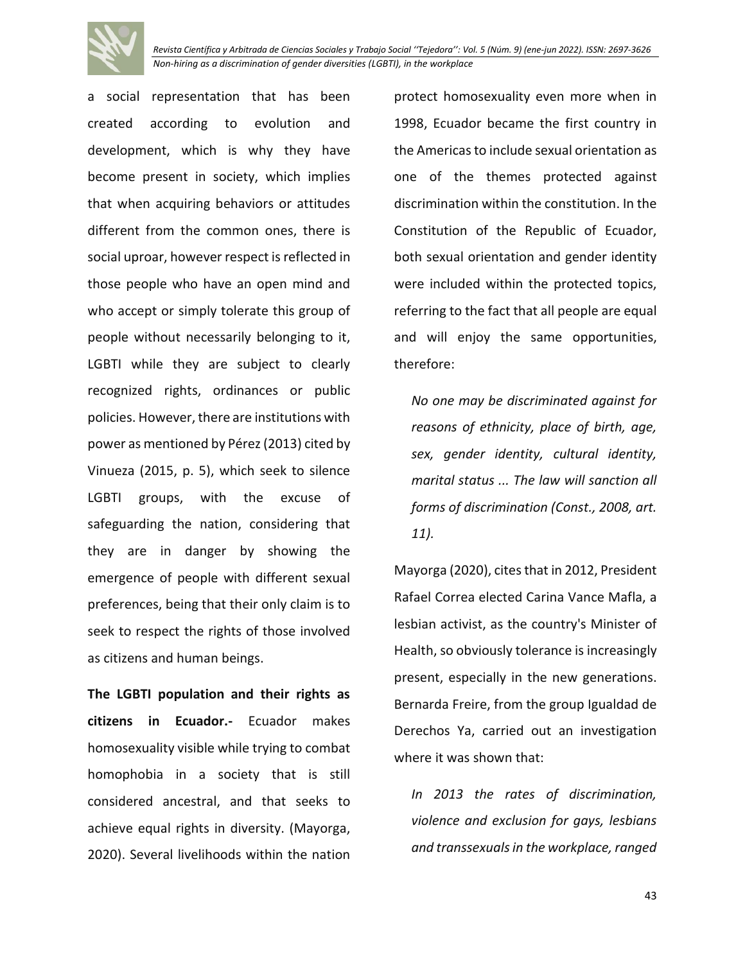

*Revista Científica y Arbitrada de Ciencias Sociales y Trabajo Social ''Tejedora'': Vol. 5 (Núm. 9) (ene-jun 2022). ISSN: 2697-3626 Non-hiring as a discrimination of gender diversities (LGBTI), in the workplace*

a social representation that has been created according to evolution and development, which is why they have become present in society, which implies that when acquiring behaviors or attitudes different from the common ones, there is social uproar, however respect is reflected in those people who have an open mind and who accept or simply tolerate this group of people without necessarily belonging to it, LGBTI while they are subject to clearly recognized rights, ordinances or public policies. However, there are institutions with power as mentioned by Pérez (2013) cited by Vinueza (2015, p. 5), which seek to silence LGBTI groups, with the excuse of safeguarding the nation, considering that they are in danger by showing the emergence of people with different sexual preferences, being that their only claim is to seek to respect the rights of those involved as citizens and human beings.

**The LGBTI population and their rights as citizens in Ecuador.-** Ecuador makes homosexuality visible while trying to combat homophobia in a society that is still considered ancestral, and that seeks to achieve equal rights in diversity. (Mayorga, 2020). Several livelihoods within the nation

protect homosexuality even more when in 1998, Ecuador became the first country in the Americas to include sexual orientation as one of the themes protected against discrimination within the constitution. In the Constitution of the Republic of Ecuador, both sexual orientation and gender identity were included within the protected topics, referring to the fact that all people are equal and will enjoy the same opportunities, therefore:

*No one may be discriminated against for reasons of ethnicity, place of birth, age, sex, gender identity, cultural identity, marital status ... The law will sanction all forms of discrimination (Const., 2008, art. 11).*

Mayorga (2020), cites that in 2012, President Rafael Correa elected Carina Vance Mafla, a lesbian activist, as the country's Minister of Health, so obviously tolerance is increasingly present, especially in the new generations. Bernarda Freire, from the group Igualdad de Derechos Ya, carried out an investigation where it was shown that:

*In 2013 the rates of discrimination, violence and exclusion for gays, lesbians and transsexuals in the workplace, ranged*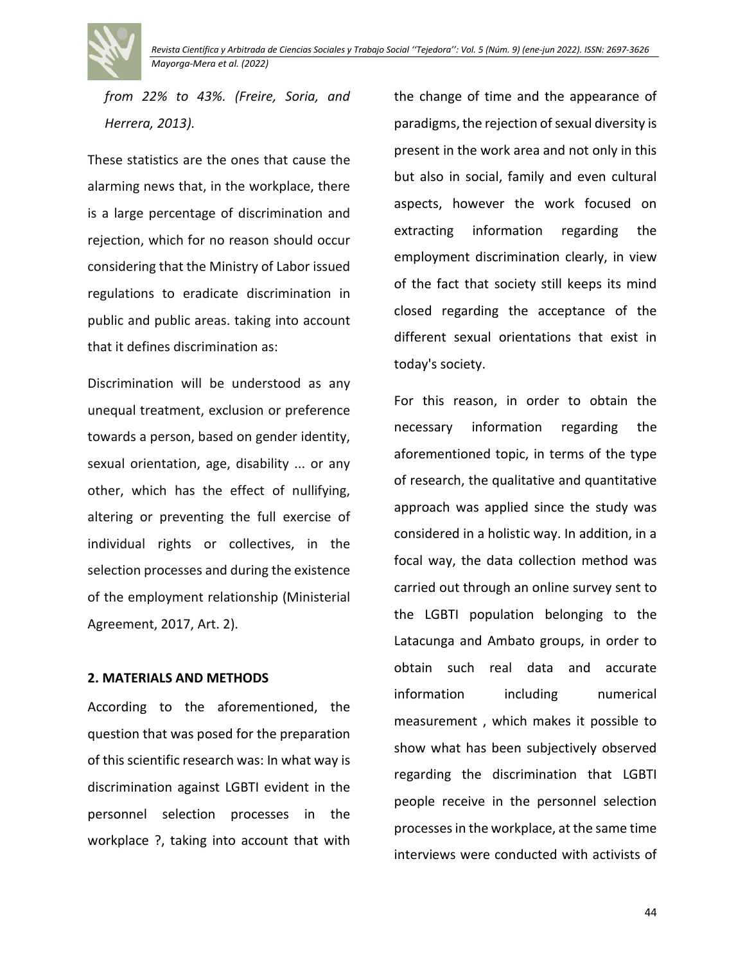*from 22% to 43%. (Freire, Soria, and Herrera, 2013).*

These statistics are the ones that cause the alarming news that, in the workplace, there is a large percentage of discrimination and rejection, which for no reason should occur considering that the Ministry of Labor issued regulations to eradicate discrimination in public and public areas. taking into account that it defines discrimination as:

Discrimination will be understood as any unequal treatment, exclusion or preference towards a person, based on gender identity, sexual orientation, age, disability ... or any other, which has the effect of nullifying, altering or preventing the full exercise of individual rights or collectives, in the selection processes and during the existence of the employment relationship (Ministerial Agreement, 2017, Art. 2).

## **2. MATERIALS AND METHODS**

According to the aforementioned, the question that was posed for the preparation of this scientific research was: In what way is discrimination against LGBTI evident in the personnel selection processes in the workplace ?, taking into account that with the change of time and the appearance of paradigms, the rejection of sexual diversity is present in the work area and not only in this but also in social, family and even cultural aspects, however the work focused on extracting information regarding the employment discrimination clearly, in view of the fact that society still keeps its mind closed regarding the acceptance of the different sexual orientations that exist in today's society.

For this reason, in order to obtain the necessary information regarding the aforementioned topic, in terms of the type of research, the qualitative and quantitative approach was applied since the study was considered in a holistic way. In addition, in a focal way, the data collection method was carried out through an online survey sent to the LGBTI population belonging to the Latacunga and Ambato groups, in order to obtain such real data and accurate information including numerical measurement , which makes it possible to show what has been subjectively observed regarding the discrimination that LGBTI people receive in the personnel selection processes in the workplace, at the same time interviews were conducted with activists of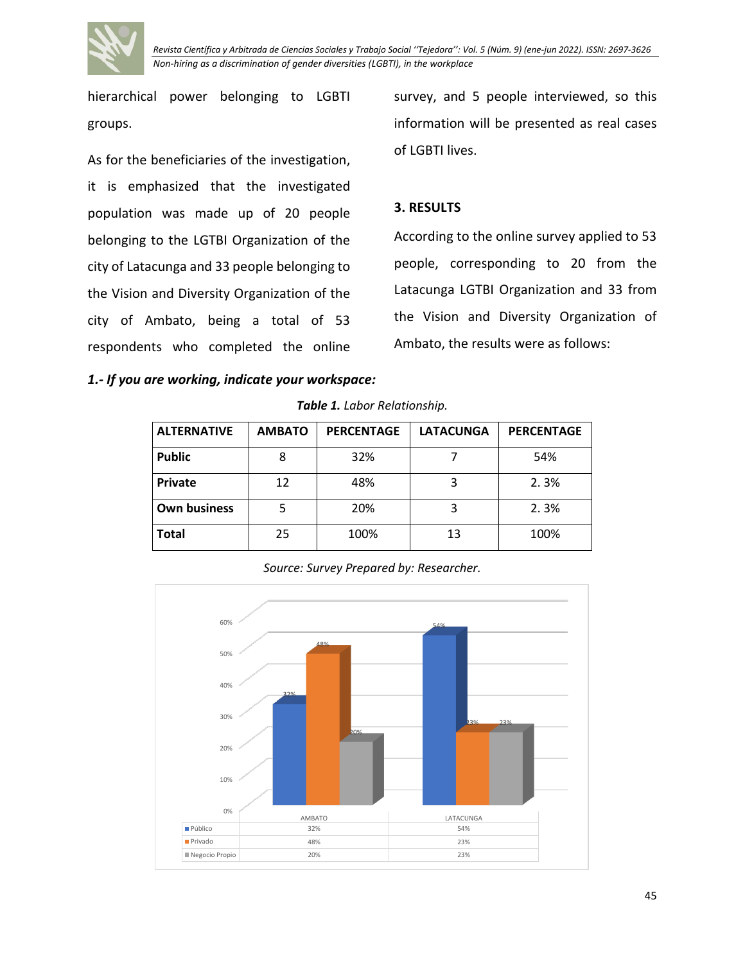

hierarchical power belonging to LGBTI groups.

As for the beneficiaries of the investigation, it is emphasized that the investigated population was made up of 20 people belonging to the LGTBI Organization of the city of Latacunga and 33 people belonging to the Vision and Diversity Organization of the city of Ambato, being a total of 53 respondents who completed the online survey, and 5 people interviewed, so this information will be presented as real cases of LGBTI lives.

### **3. RESULTS**

According to the online survey applied to 53 people, corresponding to 20 from the Latacunga LGTBI Organization and 33 from the Vision and Diversity Organization of Ambato, the results were as follows:

*1.- If you are working, indicate your workspace:*

*Table 1. Labor Relationship.*

| <b>ALTERNATIVE</b>  | <b>AMBATO</b> | <b>PERCENTAGE</b> | <b>LATACUNGA</b> | <b>PERCENTAGE</b> |
|---------------------|---------------|-------------------|------------------|-------------------|
| <b>Public</b>       | 8             | 32%               |                  | 54%               |
| <b>Private</b>      | 12            | 48%               |                  | 2.3%              |
| <b>Own business</b> |               | 20%               |                  | 2.3%              |
| <b>Total</b>        | 25            | 100%              | 13               | 100%              |

*Source: Survey Prepared by: Researcher.*

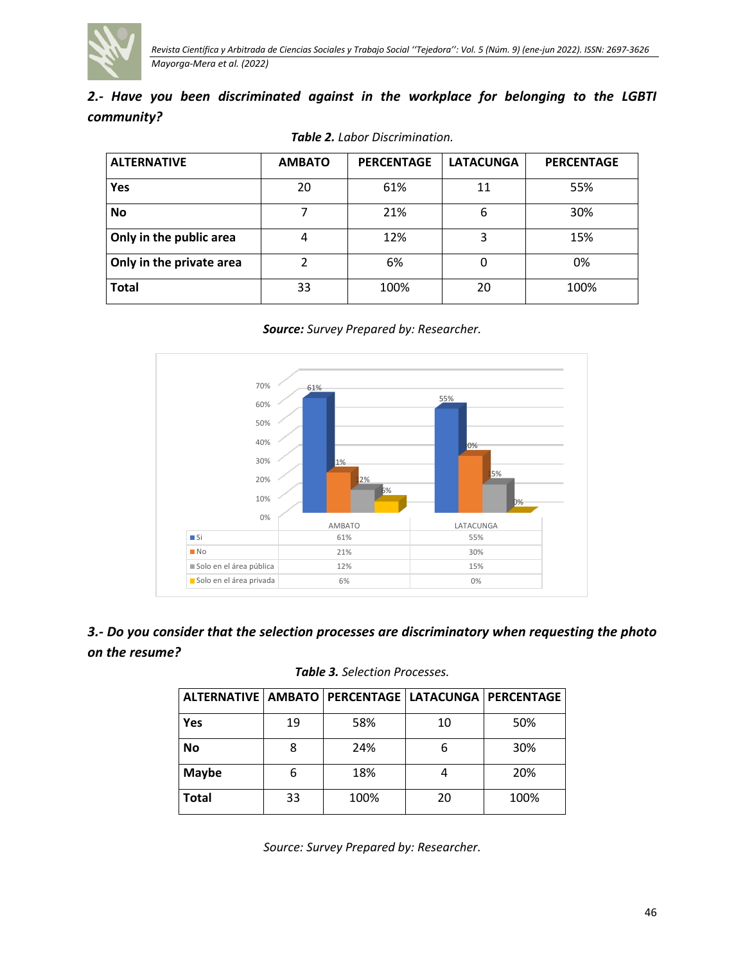

|            |  | 2.- Have you been discriminated against in the workplace for belonging to the LGBTI |  |  |  |  |  |
|------------|--|-------------------------------------------------------------------------------------|--|--|--|--|--|
| community? |  |                                                                                     |  |  |  |  |  |

| <b>ALTERNATIVE</b>       | <b>AMBATO</b> | <b>PERCENTAGE</b> | <b>LATACUNGA</b> | <b>PERCENTAGE</b> |
|--------------------------|---------------|-------------------|------------------|-------------------|
| Yes                      | 20            | 61%               | 11               | 55%               |
| <b>No</b>                |               | 21%               | 6                | 30%               |
| Only in the public area  |               | 12%               | 3                | 15%               |
| Only in the private area | າ             | 6%                | 0                | 0%                |
| <b>Total</b>             | 33            | 100%              | 20               | 100%              |

*Table 2. Labor Discrimination.*





# *3.- Do you consider that the selection processes are discriminatory when requesting the photo on the resume?*

| ALTERNATIVE   AMBATO   PERCENTAGE   LATACUNGA   PERCENTAGE |    |      |    |      |
|------------------------------------------------------------|----|------|----|------|
| Yes                                                        | 19 | 58%  | 10 | 50%  |
| <b>No</b>                                                  | 8  | 24%  |    | 30%  |
| <b>Maybe</b>                                               | 6  | 18%  |    | 20%  |
| <b>Total</b>                                               | 33 | 100% | 20 | 100% |

*Table 3. Selection Processes.*

*Source: Survey Prepared by: Researcher.*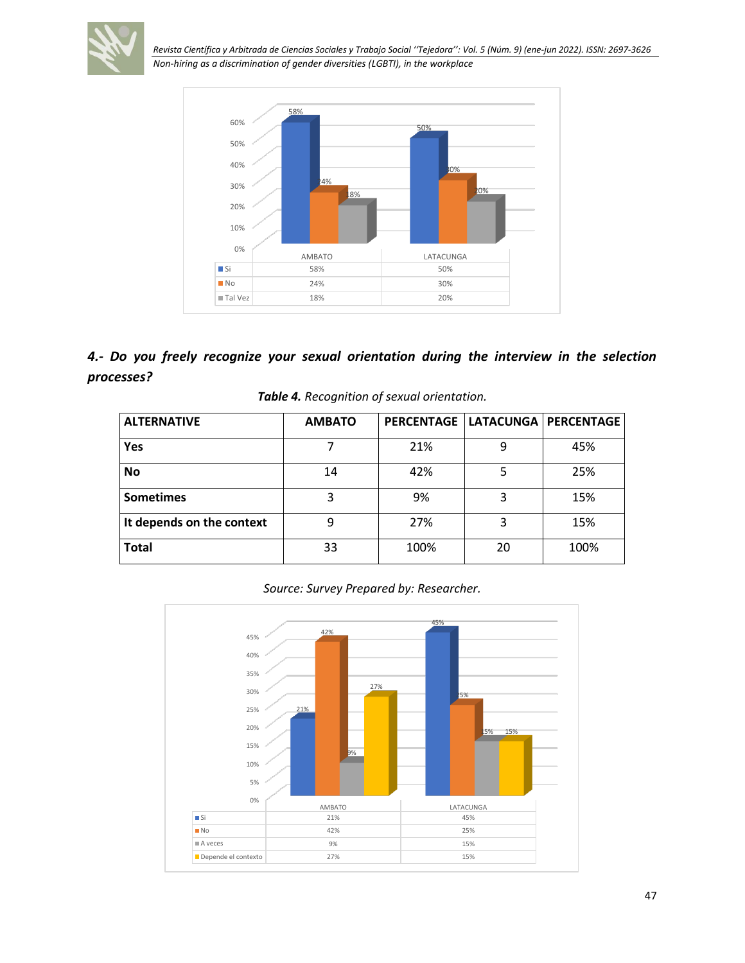

*Revista Científica y Arbitrada de Ciencias Sociales y Trabajo Social ''Tejedora'': Vol. 5 (Núm. 9) (ene-jun 2022). ISSN: 2697-3626*

*Non-hiring as a discrimination of gender diversities (LGBTI), in the workplace*



# *4.- Do you freely recognize your sexual orientation during the interview in the selection processes?*

|  |  |  | Table 4. Recognition of sexual orientation. |
|--|--|--|---------------------------------------------|
|--|--|--|---------------------------------------------|

| <b>ALTERNATIVE</b>        | <b>AMBATO</b> |      |    | PERCENTAGE   LATACUNGA   PERCENTAGE |
|---------------------------|---------------|------|----|-------------------------------------|
| <b>Yes</b>                |               | 21%  | 9  | 45%                                 |
| <b>No</b>                 | 14            | 42%  |    | 25%                                 |
| <b>Sometimes</b>          | 3             | 9%   | 3  | 15%                                 |
| It depends on the context | ٩             | 27%  | 3  | 15%                                 |
| <b>Total</b>              | 33            | 100% | 20 | 100%                                |

*Source: Survey Prepared by: Researcher.*

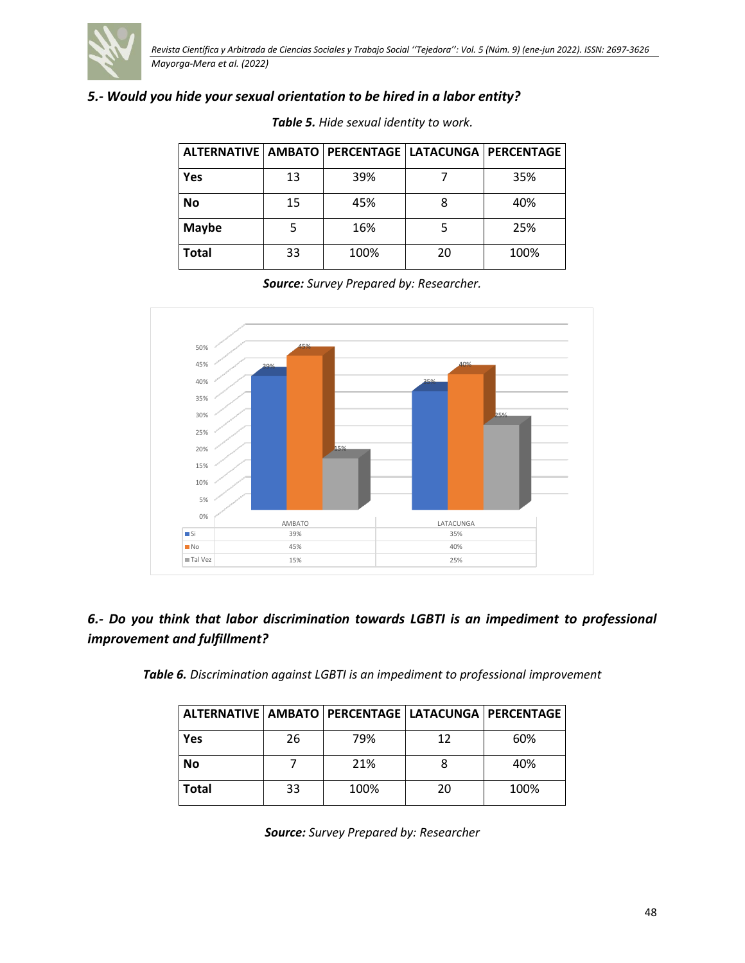

# *5.- Would you hide your sexual orientation to be hired in a labor entity?*

| ALTERNATIVE   AMBATO   PERCENTAGE   LATACUNGA   PERCENTAGE |    |      |    |      |  |
|------------------------------------------------------------|----|------|----|------|--|
| Yes                                                        | 13 | 39%  |    | 35%  |  |
| <b>No</b>                                                  | 15 | 45%  |    | 40%  |  |
| Maybe                                                      |    | 16%  |    | 25%  |  |
| <b>Total</b>                                               | 33 | 100% | 20 | 100% |  |

*Table 5. Hide sexual identity to work.*

*Source: Survey Prepared by: Researcher.*



# *6.- Do you think that labor discrimination towards LGBTI is an impediment to professional improvement and fulfillment?*

*Table 6. Discrimination against LGBTI is an impediment to professional improvement*

| ALTERNATIVE   AMBATO   PERCENTAGE   LATACUNGA   PERCENTAGE |    |      |    |      |
|------------------------------------------------------------|----|------|----|------|
| Yes                                                        | 26 | 79%  | 12 | 60%  |
| <b>No</b>                                                  |    | 21%  |    | 40%  |
| Total                                                      | 33 | 100% | 20 | 100% |

*Source: Survey Prepared by: Researcher*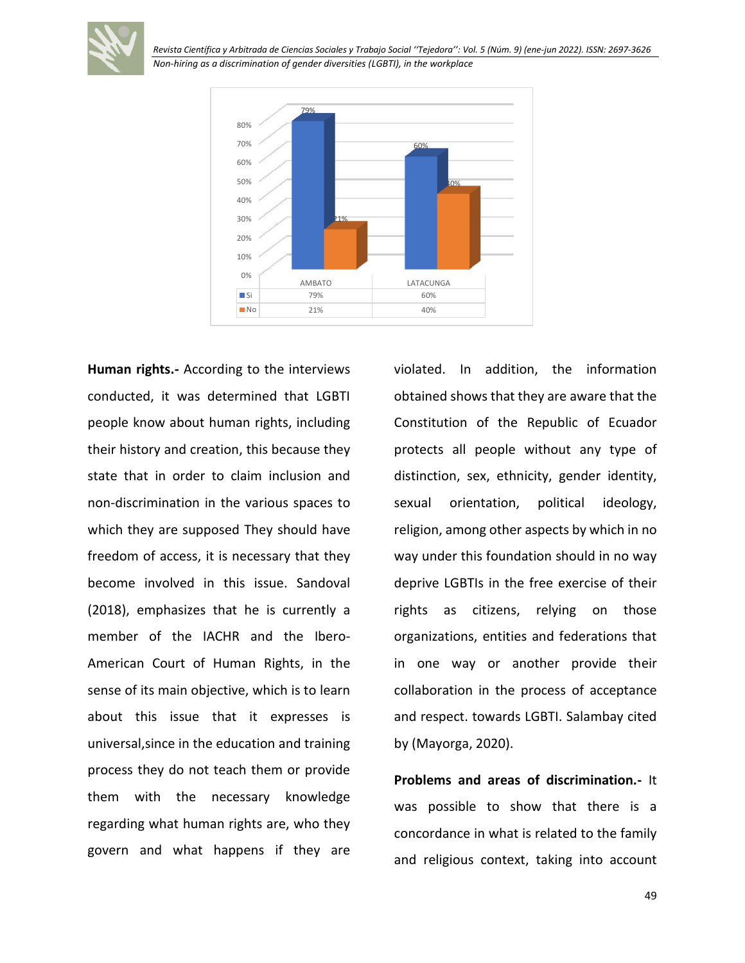*Revista Científica y Arbitrada de Ciencias Sociales y Trabajo Social ''Tejedora'': Vol. 5 (Núm. 9) (ene-jun 2022). ISSN: 2697-3626 Non-hiring as a discrimination of gender diversities (LGBTI), in the workplace*



**Human rights.-** According to the interviews conducted, it was determined that LGBTI people know about human rights, including their history and creation, this because they state that in order to claim inclusion and non-discrimination in the various spaces to which they are supposed They should have freedom of access, it is necessary that they become involved in this issue. Sandoval (2018), emphasizes that he is currently a member of the IACHR and the Ibero-American Court of Human Rights, in the sense of its main objective, which is to learn about this issue that it expresses is universal,since in the education and training process they do not teach them or provide them with the necessary knowledge regarding what human rights are, who they govern and what happens if they are

violated. In addition, the information obtained shows that they are aware that the Constitution of the Republic of Ecuador protects all people without any type of distinction, sex, ethnicity, gender identity, sexual orientation, political ideology, religion, among other aspects by which in no way under this foundation should in no way deprive LGBTIs in the free exercise of their rights as citizens, relying on those organizations, entities and federations that in one way or another provide their collaboration in the process of acceptance and respect. towards LGBTI. Salambay cited by (Mayorga, 2020).

**Problems and areas of discrimination.-** It was possible to show that there is a concordance in what is related to the family and religious context, taking into account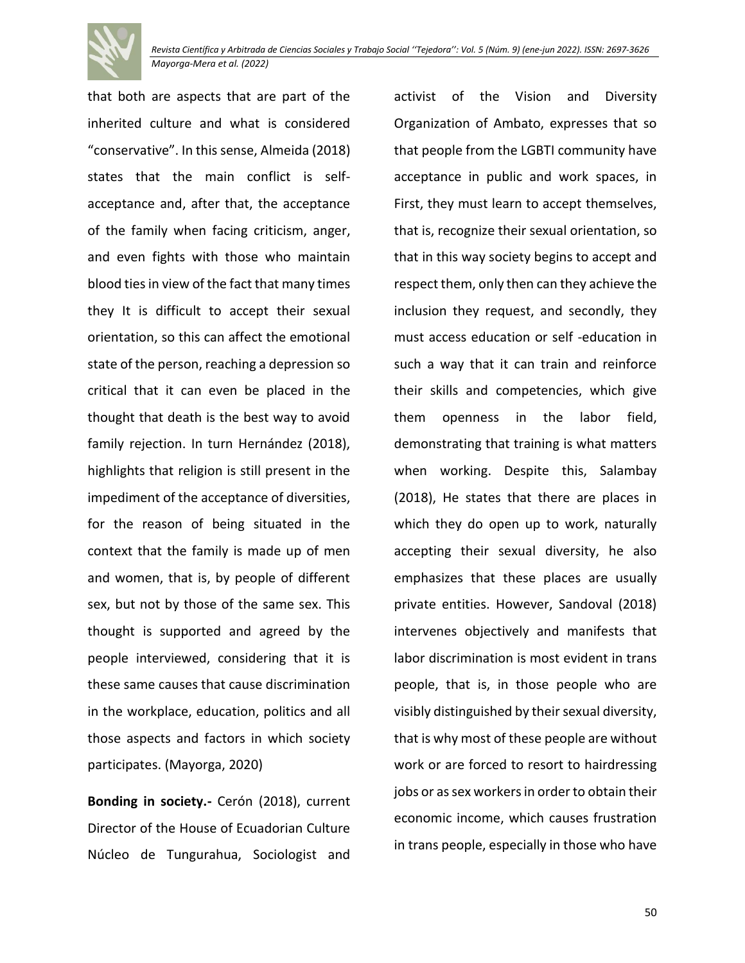

that both are aspects that are part of the inherited culture and what is considered "conservative". In this sense, Almeida (2018) states that the main conflict is selfacceptance and, after that, the acceptance of the family when facing criticism, anger, and even fights with those who maintain blood ties in view of the fact that many times they It is difficult to accept their sexual orientation, so this can affect the emotional state of the person, reaching a depression so critical that it can even be placed in the thought that death is the best way to avoid family rejection. In turn Hernández (2018), highlights that religion is still present in the impediment of the acceptance of diversities, for the reason of being situated in the context that the family is made up of men and women, that is, by people of different sex, but not by those of the same sex. This thought is supported and agreed by the people interviewed, considering that it is these same causes that cause discrimination in the workplace, education, politics and all those aspects and factors in which society participates. (Mayorga, 2020)

**Bonding in society.-** Cerón (2018), current Director of the House of Ecuadorian Culture Núcleo de Tungurahua, Sociologist and

activist of the Vision and Diversity Organization of Ambato, expresses that so that people from the LGBTI community have acceptance in public and work spaces, in First, they must learn to accept themselves, that is, recognize their sexual orientation, so that in this way society begins to accept and respect them, only then can they achieve the inclusion they request, and secondly, they must access education or self -education in such a way that it can train and reinforce their skills and competencies, which give them openness in the labor field, demonstrating that training is what matters when working. Despite this, Salambay (2018), He states that there are places in which they do open up to work, naturally accepting their sexual diversity, he also emphasizes that these places are usually private entities. However, Sandoval (2018) intervenes objectively and manifests that labor discrimination is most evident in trans people, that is, in those people who are visibly distinguished by their sexual diversity, that is why most of these people are without work or are forced to resort to hairdressing jobs or as sex workers in order to obtain their economic income, which causes frustration in trans people, especially in those who have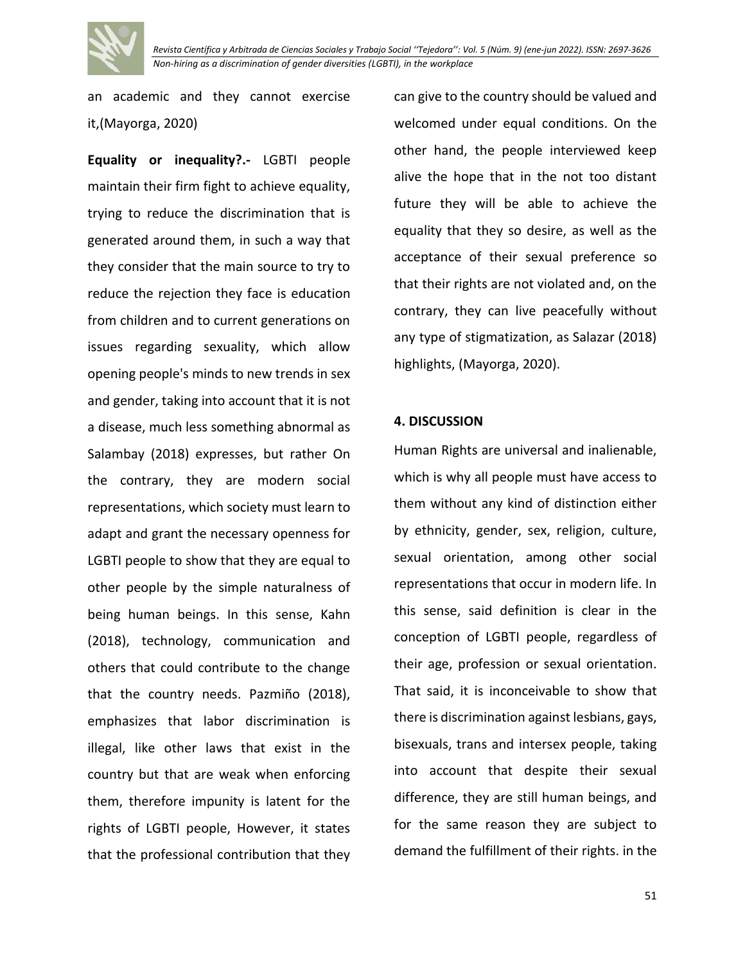

an academic and they cannot exercise it,(Mayorga, 2020)

**Equality or inequality?.-** LGBTI people maintain their firm fight to achieve equality, trying to reduce the discrimination that is generated around them, in such a way that they consider that the main source to try to reduce the rejection they face is education from children and to current generations on issues regarding sexuality, which allow opening people's minds to new trends in sex and gender, taking into account that it is not a disease, much less something abnormal as Salambay (2018) expresses, but rather On the contrary, they are modern social representations, which society must learn to adapt and grant the necessary openness for LGBTI people to show that they are equal to other people by the simple naturalness of being human beings. In this sense, Kahn (2018), technology, communication and others that could contribute to the change that the country needs. Pazmiño (2018), emphasizes that labor discrimination is illegal, like other laws that exist in the country but that are weak when enforcing them, therefore impunity is latent for the rights of LGBTI people, However, it states that the professional contribution that they can give to the country should be valued and welcomed under equal conditions. On the other hand, the people interviewed keep alive the hope that in the not too distant future they will be able to achieve the equality that they so desire, as well as the acceptance of their sexual preference so that their rights are not violated and, on the contrary, they can live peacefully without any type of stigmatization, as Salazar (2018) highlights, (Mayorga, 2020).

### **4. DISCUSSION**

Human Rights are universal and inalienable, which is why all people must have access to them without any kind of distinction either by ethnicity, gender, sex, religion, culture, sexual orientation, among other social representations that occur in modern life. In this sense, said definition is clear in the conception of LGBTI people, regardless of their age, profession or sexual orientation. That said, it is inconceivable to show that there is discrimination against lesbians, gays, bisexuals, trans and intersex people, taking into account that despite their sexual difference, they are still human beings, and for the same reason they are subject to demand the fulfillment of their rights. in the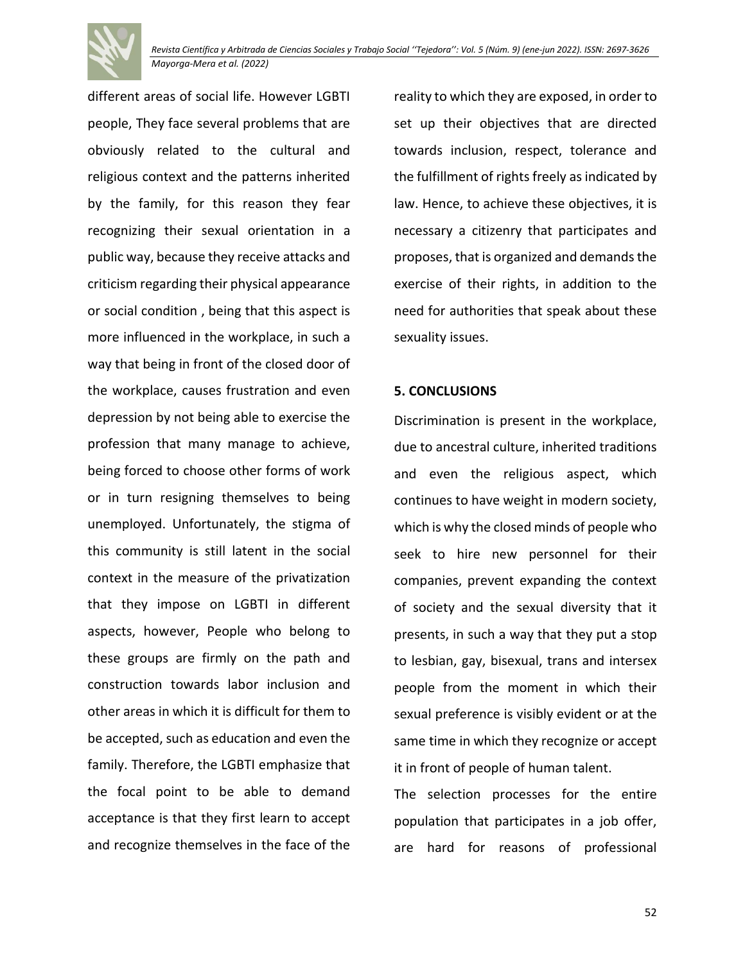

different areas of social life. However LGBTI people, They face several problems that are obviously related to the cultural and religious context and the patterns inherited by the family, for this reason they fear recognizing their sexual orientation in a public way, because they receive attacks and criticism regarding their physical appearance or social condition , being that this aspect is more influenced in the workplace, in such a way that being in front of the closed door of the workplace, causes frustration and even depression by not being able to exercise the profession that many manage to achieve, being forced to choose other forms of work or in turn resigning themselves to being unemployed. Unfortunately, the stigma of this community is still latent in the social context in the measure of the privatization that they impose on LGBTI in different aspects, however, People who belong to these groups are firmly on the path and construction towards labor inclusion and other areas in which it is difficult for them to be accepted, such as education and even the family. Therefore, the LGBTI emphasize that the focal point to be able to demand acceptance is that they first learn to accept and recognize themselves in the face of the

reality to which they are exposed, in order to set up their objectives that are directed towards inclusion, respect, tolerance and the fulfillment of rights freely as indicated by law. Hence, to achieve these objectives, it is necessary a citizenry that participates and proposes, that is organized and demands the exercise of their rights, in addition to the need for authorities that speak about these sexuality issues.

## **5. CONCLUSIONS**

Discrimination is present in the workplace, due to ancestral culture, inherited traditions and even the religious aspect, which continues to have weight in modern society, which is why the closed minds of people who seek to hire new personnel for their companies, prevent expanding the context of society and the sexual diversity that it presents, in such a way that they put a stop to lesbian, gay, bisexual, trans and intersex people from the moment in which their sexual preference is visibly evident or at the same time in which they recognize or accept it in front of people of human talent.

The selection processes for the entire population that participates in a job offer, are hard for reasons of professional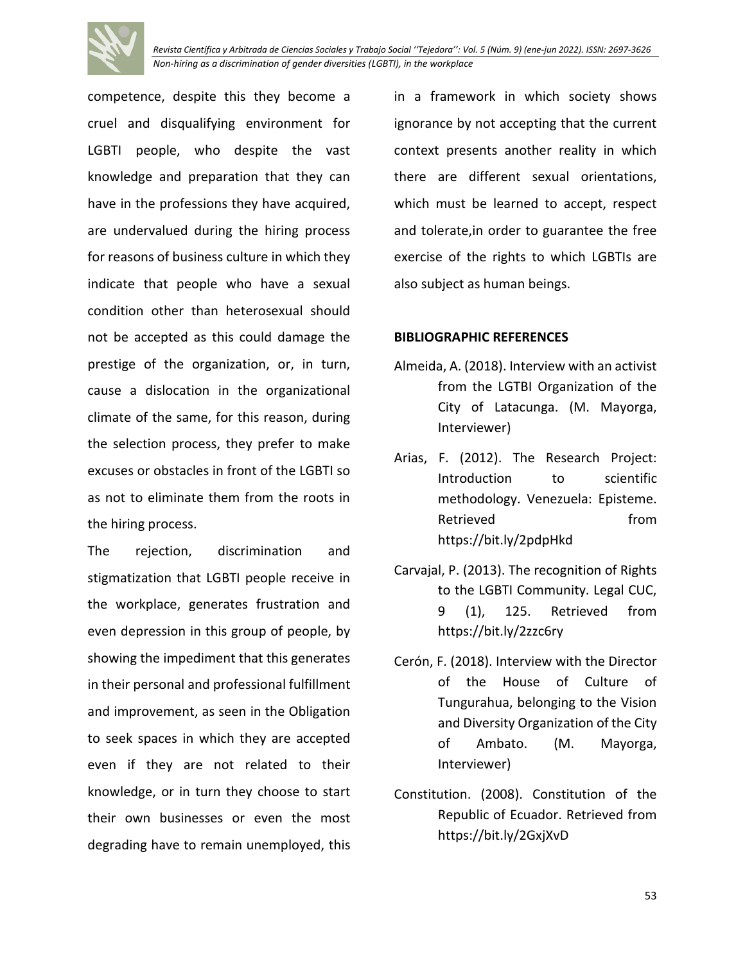

*Revista Científica y Arbitrada de Ciencias Sociales y Trabajo Social ''Tejedora'': Vol. 5 (Núm. 9) (ene-jun 2022). ISSN: 2697-3626 Non-hiring as a discrimination of gender diversities (LGBTI), in the workplace*

competence, despite this they become a cruel and disqualifying environment for LGBTI people, who despite the vast knowledge and preparation that they can have in the professions they have acquired, are undervalued during the hiring process for reasons of business culture in which they indicate that people who have a sexual condition other than heterosexual should not be accepted as this could damage the prestige of the organization, or, in turn, cause a dislocation in the organizational climate of the same, for this reason, during the selection process, they prefer to make excuses or obstacles in front of the LGBTI so as not to eliminate them from the roots in the hiring process.

The rejection, discrimination and stigmatization that LGBTI people receive in the workplace, generates frustration and even depression in this group of people, by showing the impediment that this generates in their personal and professional fulfillment and improvement, as seen in the Obligation to seek spaces in which they are accepted even if they are not related to their knowledge, or in turn they choose to start their own businesses or even the most degrading have to remain unemployed, this

in a framework in which society shows ignorance by not accepting that the current context presents another reality in which there are different sexual orientations, which must be learned to accept, respect and tolerate,in order to guarantee the free exercise of the rights to which LGBTIs are also subject as human beings.

#### **BIBLIOGRAPHIC REFERENCES**

- Almeida, A. (2018). Interview with an activist from the LGTBI Organization of the City of Latacunga. (M. Mayorga, Interviewer)
- Arias, F. (2012). The Research Project: Introduction to scientific methodology. Venezuela: Episteme. Retrieved from https://bit.ly/2pdpHkd
- Carvajal, P. (2013). The recognition of Rights to the LGBTI Community. Legal CUC, 9 (1), 125. Retrieved from https://bit.ly/2zzc6ry
- Cerón, F. (2018). Interview with the Director of the House of Culture of Tungurahua, belonging to the Vision and Diversity Organization of the City of Ambato. (M. Mayorga, Interviewer)
- Constitution. (2008). Constitution of the Republic of Ecuador. Retrieved from https://bit.ly/2GxjXvD